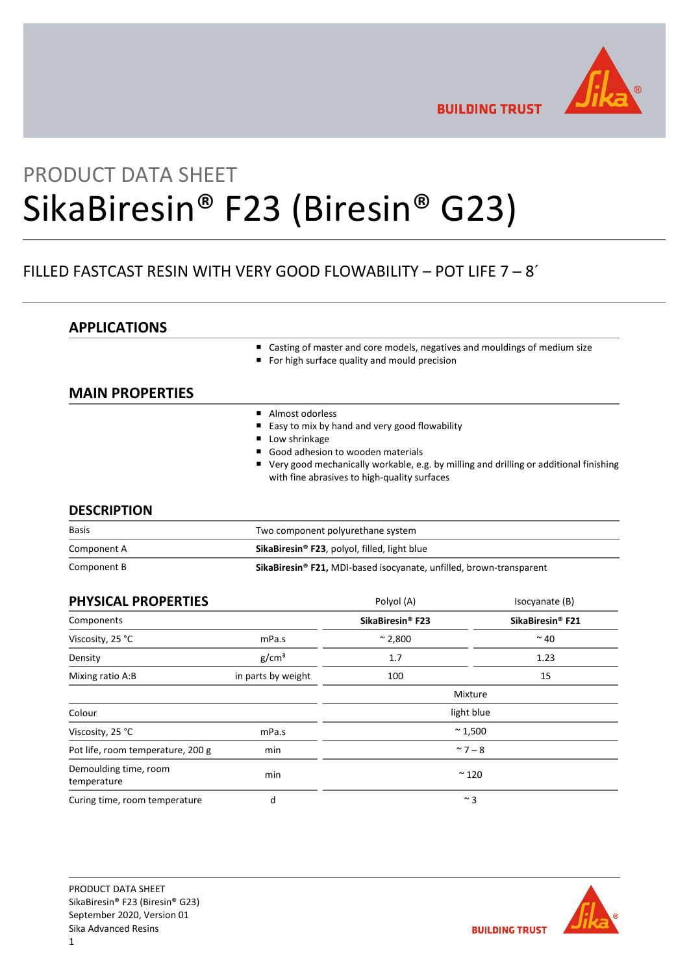

**BUILDING TRUST** 

# PRODUCT DATA SHEET SikaBiresin® F23 (Biresin® G23)

# FILLED FASTCAST RESIN WITH VERY GOOD FLOWABILITY – POT LIFE 7 ─ 8´

# **APPLICATIONS**

- Casting of master and core models, negatives and mouldings of medium size
- For high surface quality and mould precision

# **MAIN PROPERTIES**

- Almost odorless
- Easy to mix by hand and very good flowability
- **Low shrinkage**
- Good adhesion to wooden materials
- Very good mechanically workable, e.g. by milling and drilling or additional finishing with fine abrasives to high-quality surfaces

# **DESCRIPTION**

| <b>Basis</b> | Two component polyurethane system                                               |  |
|--------------|---------------------------------------------------------------------------------|--|
| Component A  | SikaBiresin <sup>®</sup> F23, polyol, filled, light blue                        |  |
| Component B  | SikaBiresin <sup>®</sup> F21, MDI-based isocyanate, unfilled, brown-transparent |  |

| <b>PHYSICAL PROPERTIES</b>           |                    | Polyol (A)                   | Isocyanate (B)               |
|--------------------------------------|--------------------|------------------------------|------------------------------|
| Components                           |                    | SikaBiresin <sup>®</sup> F23 | SikaBiresin <sup>®</sup> F21 |
| Viscosity, 25 °C                     | mPa.s              | $~^{\sim}$ 2,800             | $~\sim$ 40                   |
| Density                              | g/cm <sup>3</sup>  | 1.7                          | 1.23                         |
| Mixing ratio A:B                     | in parts by weight | 100                          | 15                           |
|                                      |                    |                              | Mixture                      |
| Colour                               |                    |                              | light blue                   |
| Viscosity, 25 °C                     | mPa.s              | $~^{\sim}$ 1,500             |                              |
| Pot life, room temperature, 200 g    | min                | $~^{\sim}$ 7 – 8             |                              |
| Demoulding time, room<br>temperature | min                | $~^{\sim}$ 120               |                              |
| Curing time, room temperature        | d                  | $~^{\sim}$ 3                 |                              |

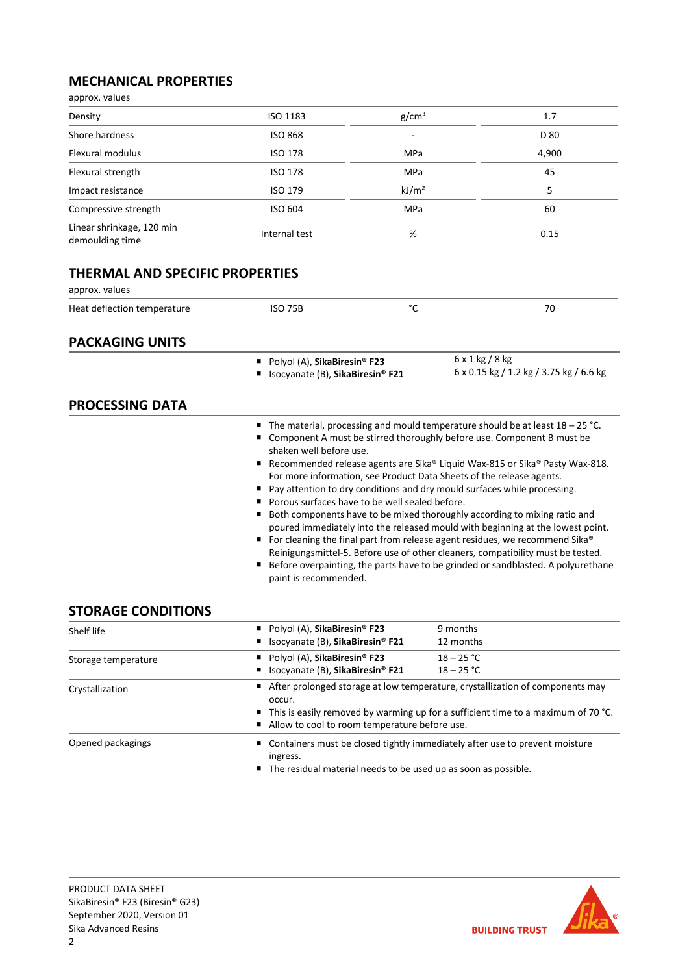# **MECHANICAL PROPERTIES**

| approx. values                                           |                                                                  |                                                                                                                                                                                                                                                                                                                                                                                                                                                                                                                                                                                                                                                                                                                                                                                                                                                                                                                                  |                                                                   |  |  |
|----------------------------------------------------------|------------------------------------------------------------------|----------------------------------------------------------------------------------------------------------------------------------------------------------------------------------------------------------------------------------------------------------------------------------------------------------------------------------------------------------------------------------------------------------------------------------------------------------------------------------------------------------------------------------------------------------------------------------------------------------------------------------------------------------------------------------------------------------------------------------------------------------------------------------------------------------------------------------------------------------------------------------------------------------------------------------|-------------------------------------------------------------------|--|--|
| Density                                                  | ISO 1183                                                         | g/cm <sup>3</sup>                                                                                                                                                                                                                                                                                                                                                                                                                                                                                                                                                                                                                                                                                                                                                                                                                                                                                                                | 1.7                                                               |  |  |
| Shore hardness                                           | <b>ISO 868</b>                                                   |                                                                                                                                                                                                                                                                                                                                                                                                                                                                                                                                                                                                                                                                                                                                                                                                                                                                                                                                  | D 80                                                              |  |  |
| Flexural modulus                                         | <b>ISO 178</b>                                                   | <b>MPa</b>                                                                                                                                                                                                                                                                                                                                                                                                                                                                                                                                                                                                                                                                                                                                                                                                                                                                                                                       | 4,900                                                             |  |  |
| Flexural strength                                        | <b>ISO 178</b>                                                   | MPa                                                                                                                                                                                                                                                                                                                                                                                                                                                                                                                                                                                                                                                                                                                                                                                                                                                                                                                              | 45                                                                |  |  |
| Impact resistance                                        | <b>ISO 179</b>                                                   | kJ/m <sup>2</sup>                                                                                                                                                                                                                                                                                                                                                                                                                                                                                                                                                                                                                                                                                                                                                                                                                                                                                                                | 5                                                                 |  |  |
| Compressive strength                                     | <b>ISO 604</b>                                                   | MPa                                                                                                                                                                                                                                                                                                                                                                                                                                                                                                                                                                                                                                                                                                                                                                                                                                                                                                                              | 60                                                                |  |  |
| Linear shrinkage, 120 min<br>demoulding time             | Internal test                                                    | %                                                                                                                                                                                                                                                                                                                                                                                                                                                                                                                                                                                                                                                                                                                                                                                                                                                                                                                                | 0.15                                                              |  |  |
| <b>THERMAL AND SPECIFIC PROPERTIES</b><br>approx. values |                                                                  |                                                                                                                                                                                                                                                                                                                                                                                                                                                                                                                                                                                                                                                                                                                                                                                                                                                                                                                                  |                                                                   |  |  |
| Heat deflection temperature                              | <b>ISO 75B</b>                                                   | °C                                                                                                                                                                                                                                                                                                                                                                                                                                                                                                                                                                                                                                                                                                                                                                                                                                                                                                                               | 70                                                                |  |  |
| <b>PACKAGING UNITS</b>                                   |                                                                  |                                                                                                                                                                                                                                                                                                                                                                                                                                                                                                                                                                                                                                                                                                                                                                                                                                                                                                                                  |                                                                   |  |  |
| <b>PROCESSING DATA</b>                                   | Polyol (A), SikaBiresin® F23<br>Isocyanate (B), SikaBiresin® F21 |                                                                                                                                                                                                                                                                                                                                                                                                                                                                                                                                                                                                                                                                                                                                                                                                                                                                                                                                  | $6 \times 1$ kg / 8 kg<br>6 x 0.15 kg / 1.2 kg / 3.75 kg / 6.6 kg |  |  |
| <b>STORAGE CONDITIONS</b>                                | $\blacksquare$                                                   | <b>The material, processing and mould temperature should be at least 18 – 25 °C.</b><br>Component A must be stirred thoroughly before use. Component B must be<br>shaken well before use.<br>Recommended release agents are Sika® Liquid Wax-815 or Sika® Pasty Wax-818.<br>For more information, see Product Data Sheets of the release agents.<br>■ Pay attention to dry conditions and dry mould surfaces while processing.<br>Porous surfaces have to be well sealed before.<br>Both components have to be mixed thoroughly according to mixing ratio and<br>poured immediately into the released mould with beginning at the lowest point.<br>■ For cleaning the final part from release agent residues, we recommend Sika®<br>Reinigungsmittel-5. Before use of other cleaners, compatibility must be tested.<br>Before overpainting, the parts have to be grinded or sandblasted. A polyurethane<br>paint is recommended. |                                                                   |  |  |
| Shelf life                                               | Polyol (A), SikaBiresin® F23<br>Isocyanate (B), SikaBiresin® F21 |                                                                                                                                                                                                                                                                                                                                                                                                                                                                                                                                                                                                                                                                                                                                                                                                                                                                                                                                  | 9 months<br>12 months                                             |  |  |
| Storage temperature                                      | ■ Polyol (A), SikaBiresin® F23<br>saassa (D) Cila <b>n</b> iaasi |                                                                                                                                                                                                                                                                                                                                                                                                                                                                                                                                                                                                                                                                                                                                                                                                                                                                                                                                  | $18 - 25 °C$<br>10.25                                             |  |  |

| Storage temperature | Polyol (A), SikaBiresin <sup>®</sup> F23<br>$18 - 25 °C$<br>■ Isocyanate (B), SikaBiresin® F21<br>$18 - 25 °C$                                                                                                                                 |  |  |
|---------------------|------------------------------------------------------------------------------------------------------------------------------------------------------------------------------------------------------------------------------------------------|--|--|
| Crystallization     | ■ After prolonged storage at low temperature, crystallization of components may<br>occur.<br>$\blacksquare$ This is easily removed by warming up for a sufficient time to a maximum of 70 °C.<br>Allow to cool to room temperature before use. |  |  |
| Opened packagings   | ■ Containers must be closed tightly immediately after use to prevent moisture<br>ingress.<br>■ The residual material needs to be used up as soon as possible.                                                                                  |  |  |